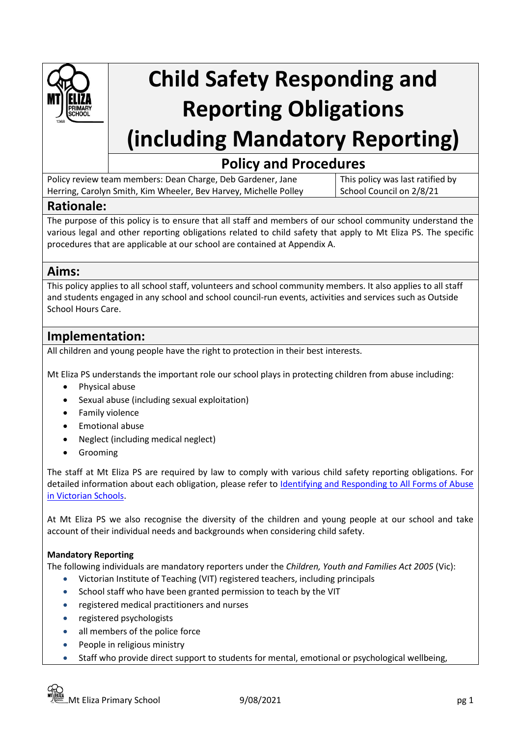

# **Child Safety Responding and Reporting Obligations (including Mandatory Reporting)**

## **Policy and Procedures**

Policy review team members: Dean Charge, Deb Gardener, Jane Herring, Carolyn Smith, Kim Wheeler, Bev Harvey, Michelle Polley

This policy was last ratified by School Council on 2/8/21

## **Rationale:**

The purpose of this policy is to ensure that all staff and members of our school community understand the various legal and other reporting obligations related to child safety that apply to Mt Eliza PS. The specific procedures that are applicable at our school are contained at Appendix A.

## **Aims:**

This policy applies to all school staff, volunteers and school community members. It also applies to all staff and students engaged in any school and school council-run events, activities and services such as Outside School Hours Care.

## **Implementation:**

All children and young people have the right to protection in their best interests.

Mt Eliza PS understands the important role our school plays in protecting children from abuse including:

- Physical abuse
- Sexual abuse (including sexual exploitation)
- Family violence
- Emotional abuse
- Neglect (including medical neglect)
- **Grooming**

The staff at Mt Eliza PS are required by law to comply with various child safety reporting obligations. For detailed information about each obligation, please refer to [Identifying and Responding to All Forms of Abuse](https://www.education.vic.gov.au/Documents/about/programs/health/protect/ChildSafeStandard5_SchoolsGuide.pdf)  [in Victorian Schools.](https://www.education.vic.gov.au/Documents/about/programs/health/protect/ChildSafeStandard5_SchoolsGuide.pdf)

At Mt Eliza PS we also recognise the diversity of the children and young people at our school and take account of their individual needs and backgrounds when considering child safety.

#### **Mandatory Reporting**

The following individuals are mandatory reporters under the *Children, Youth and Families Act 2005* (Vic):

- Victorian Institute of Teaching (VIT) registered teachers, including principals
- School staff who have been granted permission to teach by the VIT
- registered medical practitioners and nurses
- registered psychologists
- all members of the police force
- People in religious ministry
- Staff who provide direct support to students for mental, emotional or psychological wellbeing,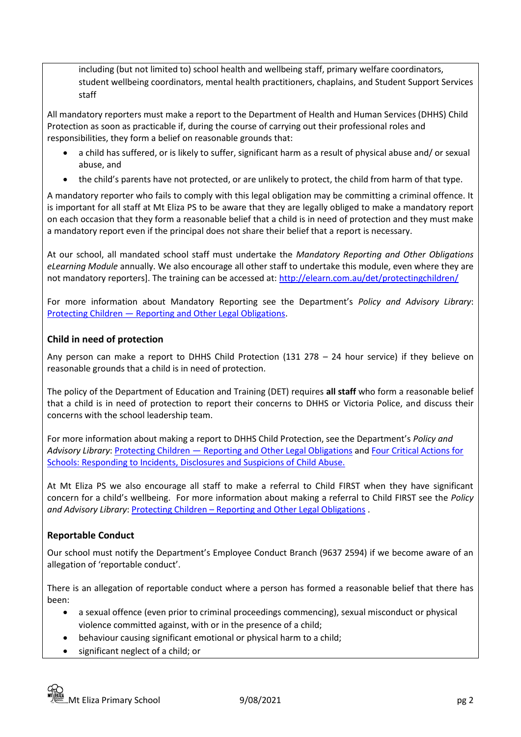including (but not limited to) school health and wellbeing staff, primary welfare coordinators, student wellbeing coordinators, mental health practitioners, chaplains, and Student Support Services staff

All mandatory reporters must make a report to the Department of Health and Human Services (DHHS) Child Protection as soon as practicable if, during the course of carrying out their professional roles and responsibilities, they form a belief on reasonable grounds that:

- a child has suffered, or is likely to suffer, significant harm as a result of physical abuse and/ or sexual abuse, and
- the child's parents have not protected, or are unlikely to protect, the child from harm of that type.

A mandatory reporter who fails to comply with this legal obligation may be committing a criminal offence. It is important for all staff at Mt Eliza PS to be aware that they are legally obliged to make a mandatory report on each occasion that they form a reasonable belief that a child is in need of protection and they must make a mandatory report even if the principal does not share their belief that a report is necessary.

At our school, all mandated school staff must undertake the *Mandatory Reporting and Other Obligations eLearning Module* annually. We also encourage all other staff to undertake this module, even where they are not mandatory reporters]. The training can be accessed at:<http://elearn.com.au/det/protectingchildren/>

For more information about Mandatory Reporting see the Department's *Policy and Advisory Library*: Protecting Children — [Reporting and Other Legal Obligations.](https://www2.education.vic.gov.au/pal/protecting-children/policy)

#### **Child in need of protection**

Any person can make a report to DHHS Child Protection (131 278 – 24 hour service) if they believe on reasonable grounds that a child is in need of protection.

The policy of the Department of Education and Training (DET) requires **all staff** who form a reasonable belief that a child is in need of protection to report their concerns to DHHS or Victoria Police, and discuss their concerns with the school leadership team.

For more information about making a report to DHHS Child Protection, see the Department's *Policy and Advisory Library*: Protecting Children — [Reporting and Other Legal Obligations](https://www2.education.vic.gov.au/pal/protecting-children/policy) an[d Four Critical Actions for](https://www.education.vic.gov.au/Documents/about/programs/health/protect/FourCriticalActions_ChildAbuse.pdf)  [Schools: Responding to Incidents, Disclosures and Suspicions of Child Abuse.](https://www.education.vic.gov.au/Documents/about/programs/health/protect/FourCriticalActions_ChildAbuse.pdf)

At Mt Eliza PS we also encourage all staff to make a referral to Child FIRST when they have significant concern for a child's wellbeing. For more information about making a referral to Child FIRST see the *Policy and Advisory Library*: Protecting Children – [Reporting and Other Legal Obligations](https://www2.education.vic.gov.au/pal/protecting-children/policy) .

#### **Reportable Conduct**

Our school must notify the Department's Employee Conduct Branch (9637 2594) if we become aware of an allegation of 'reportable conduct'.

There is an allegation of reportable conduct where a person has formed a reasonable belief that there has been:

- a sexual offence (even prior to criminal proceedings commencing), sexual misconduct or physical violence committed against, with or in the presence of a child;
- behaviour causing significant emotional or physical harm to a child;
- significant neglect of a child; or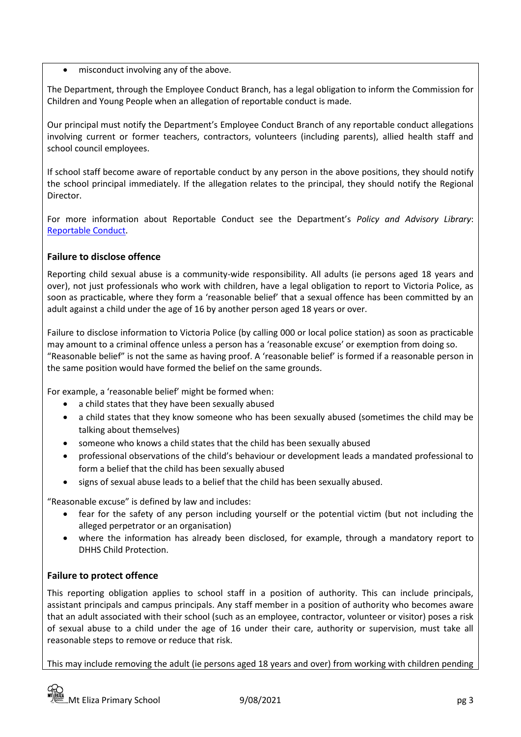• misconduct involving any of the above.

The Department, through the Employee Conduct Branch, has a legal obligation to inform the Commission for Children and Young People when an allegation of reportable conduct is made.

Our principal must notify the Department's Employee Conduct Branch of any reportable conduct allegations involving current or former teachers, contractors, volunteers (including parents), allied health staff and school council employees.

If school staff become aware of reportable conduct by any person in the above positions, they should notify the school principal immediately. If the allegation relates to the principal, they should notify the Regional Director.

For more information about Reportable Conduct see the Department's *Policy and Advisory Library*: [Reportable Conduct.](https://www2.education.vic.gov.au/pal/reportable-conduct-scheme/policy)

### **Failure to disclose offence**

Reporting child sexual abuse is a community-wide responsibility. All adults (ie persons aged 18 years and over), not just professionals who work with children, have a legal obligation to report to Victoria Police, as soon as practicable, where they form a 'reasonable belief' that a sexual offence has been committed by an adult against a child under the age of 16 by another person aged 18 years or over.

Failure to disclose information to Victoria Police (by calling 000 or local police station) as soon as practicable may amount to a criminal offence unless a person has a 'reasonable excuse' or exemption from doing so. "Reasonable belief" is not the same as having proof. A 'reasonable belief' is formed if a reasonable person in the same position would have formed the belief on the same grounds.

For example, a 'reasonable belief' might be formed when:

- a child states that they have been sexually abused
- a child states that they know someone who has been sexually abused (sometimes the child may be talking about themselves)
- someone who knows a child states that the child has been sexually abused
- professional observations of the child's behaviour or development leads a mandated professional to form a belief that the child has been sexually abused
- signs of sexual abuse leads to a belief that the child has been sexually abused.

"Reasonable excuse" is defined by law and includes:

- fear for the safety of any person including yourself or the potential victim (but not including the alleged perpetrator or an organisation)
- where the information has already been disclosed, for example, through a mandatory report to DHHS Child Protection.

#### **Failure to protect offence**

This reporting obligation applies to school staff in a position of authority. This can include principals, assistant principals and campus principals. Any staff member in a position of authority who becomes aware that an adult associated with their school (such as an employee, contractor, volunteer or visitor) poses a risk of sexual abuse to a child under the age of 16 under their care, authority or supervision, must take all reasonable steps to remove or reduce that risk.

This may include removing the adult (ie persons aged 18 years and over) from working with children pending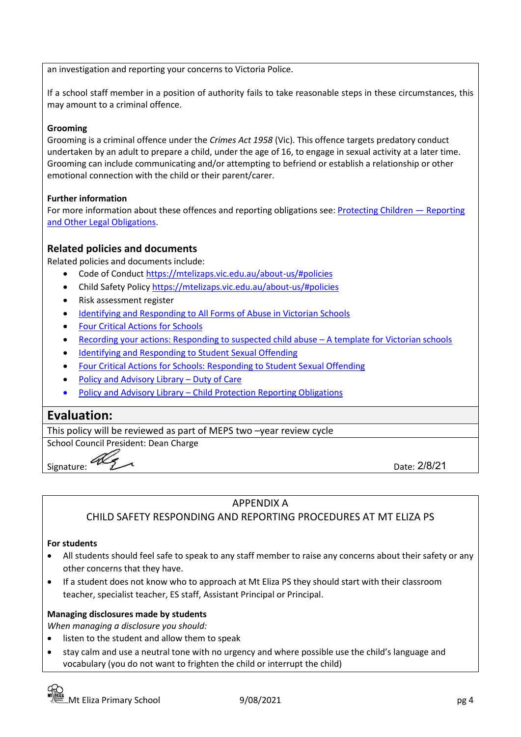an investigation and reporting your concerns to Victoria Police.

If a school staff member in a position of authority fails to take reasonable steps in these circumstances, this may amount to a criminal offence.

#### **Grooming**

Grooming is a criminal offence under the *Crimes Act 1958* (Vic). This offence targets predatory conduct undertaken by an adult to prepare a child, under the age of 16, to engage in sexual activity at a later time. Grooming can include communicating and/or attempting to befriend or establish a relationship or other emotional connection with the child or their parent/carer.

#### **Further information**

For more information about these offences and reporting obligations see: [Protecting Children](https://www2.education.vic.gov.au/pal/protecting-children/policy) - Reporting [and Other Legal Obligations.](https://www2.education.vic.gov.au/pal/protecting-children/policy)

#### **Related policies and documents**

Related policies and documents include:

- Code of Conduct<https://mtelizaps.vic.edu.au/about-us/#policies>
- Child Safety Policy<https://mtelizaps.vic.edu.au/about-us/#policies>
- Risk assessment register
- [Identifying and Responding to All Forms of Abuse in Victorian Schools](https://www.education.vic.gov.au/Documents/about/programs/health/protect/ChildSafeStandard5_SchoolsGuide.pdf)
- [Four Critical Actions for Schools](https://www.education.vic.gov.au/Documents/about/programs/health/protect/FourCriticalActions_ChildAbuse.pdf)
- [Recording your actions: Responding to suspected child abuse](https://www.education.vic.gov.au/Documents/about/programs/health/protect/PROTECT_Schoolstemplate.pdf)  A template for Victorian schools
- [Identifying and Responding to Student Sexual Offending](https://www.education.vic.gov.au/Documents/about/programs/health/protect/SSO_Policy.pdf)
- [Four Critical Actions for Schools: Responding to Student Sexual Offending](https://www.education.vic.gov.au/Documents/about/programs/health/protect/FourCriticalActions_SSO.pdf)
- [Policy and Advisory Library](https://www.education.vic.gov.au/school/principals/spag/safety/Pages/dutyofcare.aspx)  Duty of Care
- Policy and Advisory Library [Child Protection Reporting Obligations](https://www.education.vic.gov.au/school/principals/spag/safety/Pages/childprotectobligation.aspx)

## **Evaluation:**

This policy will be reviewed as part of MEPS two –year review cycle

School Council President: Dean Charge

Signature:

Date: 2/8/21

#### APPENDIX A

#### CHILD SAFETY RESPONDING AND REPORTING PROCEDURES AT MT ELIZA PS

#### **For students**

- All students should feel safe to speak to any staff member to raise any concerns about their safety or any other concerns that they have.
- If a student does not know who to approach at Mt Eliza PS they should start with their classroom teacher, specialist teacher, ES staff, Assistant Principal or Principal.

#### **Managing disclosures made by students**

*When managing a disclosure you should:*

- listen to the student and allow them to speak
- stay calm and use a neutral tone with no urgency and where possible use the child's language and vocabulary (you do not want to frighten the child or interrupt the child)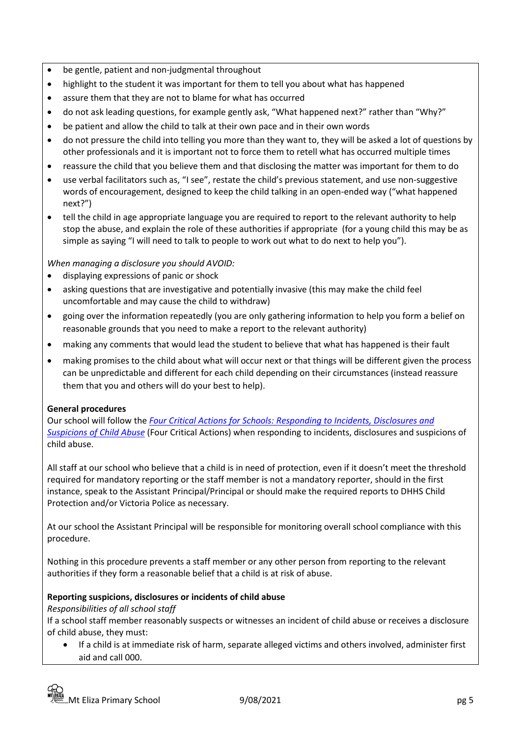- be gentle, patient and non-judgmental throughout
- highlight to the student it was important for them to tell you about what has happened
- assure them that they are not to blame for what has occurred
- do not ask leading questions, for example gently ask, "What happened next?" rather than "Why?"
- be patient and allow the child to talk at their own pace and in their own words
- do not pressure the child into telling you more than they want to, they will be asked a lot of questions by other professionals and it is important not to force them to retell what has occurred multiple times
- reassure the child that you believe them and that disclosing the matter was important for them to do
- use verbal facilitators such as, "I see", restate the child's previous statement, and use non-suggestive words of encouragement, designed to keep the child talking in an open-ended way ("what happened next?")
- tell the child in age appropriate language you are required to report to the relevant authority to help stop the abuse, and explain the role of these authorities if appropriate (for a young child this may be as simple as saying "I will need to talk to people to work out what to do next to help you").

*When managing a disclosure you should AVOID:*

- displaying expressions of panic or shock
- asking questions that are investigative and potentially invasive (this may make the child feel uncomfortable and may cause the child to withdraw)
- going over the information repeatedly (you are only gathering information to help you form a belief on reasonable grounds that you need to make a report to the relevant authority)
- making any comments that would lead the student to believe that what has happened is their fault
- making promises to the child about what will occur next or that things will be different given the process can be unpredictable and different for each child depending on their circumstances (instead reassure them that you and others will do your best to help).

#### **General procedures**

Our school will follow the *[Four Critical Actions for Schools: Responding to Incidents, Disclosures and](https://www.education.vic.gov.au/Documents/about/programs/health/protect/FourCriticalActions_ChildAbuse.pdf)  [Suspicions of Child Abuse](https://www.education.vic.gov.au/Documents/about/programs/health/protect/FourCriticalActions_ChildAbuse.pdf)* (Four Critical Actions) when responding to incidents, disclosures and suspicions of child abuse.

All staff at our school who believe that a child is in need of protection, even if it doesn't meet the threshold required for mandatory reporting or the staff member is not a mandatory reporter, should in the first instance, speak to the Assistant Principal/Principal or should make the required reports to DHHS Child Protection and/or Victoria Police as necessary.

At our school the Assistant Principal will be responsible for monitoring overall school compliance with this procedure.

Nothing in this procedure prevents a staff member or any other person from reporting to the relevant authorities if they form a reasonable belief that a child is at risk of abuse.

#### **Reporting suspicions, disclosures or incidents of child abuse**

*Responsibilities of all school staff*

If a school staff member reasonably suspects or witnesses an incident of child abuse or receives a disclosure of child abuse, they must:

• If a child is at immediate risk of harm, separate alleged victims and others involved, administer first aid and call 000.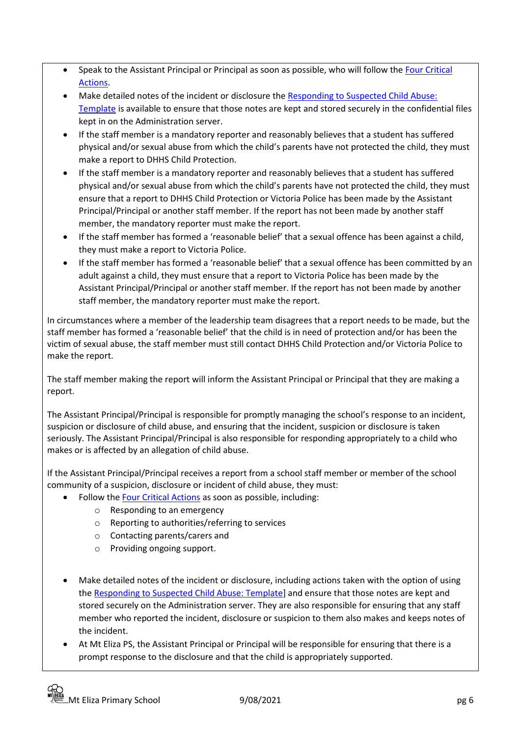- Speak to the Assistant Principal or Principal as soon as possible, who will follow the [Four Critical](https://www.education.vic.gov.au/Documents/about/programs/health/protect/FourCriticalActions_ChildAbuse.pdf)  [Actions.](https://www.education.vic.gov.au/Documents/about/programs/health/protect/FourCriticalActions_ChildAbuse.pdf)
- Make detailed notes of the incident or disclosure the Responding to Suspected Child Abuse: [Template](https://www.education.vic.gov.au/Documents/about/programs/health/protect/PROTECT_Schoolstemplate.pdf) is available to ensure that those notes are kept and stored securely in the confidential files kept in on the Administration server.
- If the staff member is a mandatory reporter and reasonably believes that a student has suffered physical and/or sexual abuse from which the child's parents have not protected the child, they must make a report to DHHS Child Protection.
- If the staff member is a mandatory reporter and reasonably believes that a student has suffered physical and/or sexual abuse from which the child's parents have not protected the child, they must ensure that a report to DHHS Child Protection or Victoria Police has been made by the Assistant Principal/Principal or another staff member. If the report has not been made by another staff member, the mandatory reporter must make the report.
- If the staff member has formed a 'reasonable belief' that a sexual offence has been against a child, they must make a report to Victoria Police.
- If the staff member has formed a 'reasonable belief' that a sexual offence has been committed by an adult against a child, they must ensure that a report to Victoria Police has been made by the Assistant Principal/Principal or another staff member. If the report has not been made by another staff member, the mandatory reporter must make the report.

In circumstances where a member of the leadership team disagrees that a report needs to be made, but the staff member has formed a 'reasonable belief' that the child is in need of protection and/or has been the victim of sexual abuse, the staff member must still contact DHHS Child Protection and/or Victoria Police to make the report.

The staff member making the report will inform the Assistant Principal or Principal that they are making a report.

The Assistant Principal/Principal is responsible for promptly managing the school's response to an incident, suspicion or disclosure of child abuse, and ensuring that the incident, suspicion or disclosure is taken seriously. The Assistant Principal/Principal is also responsible for responding appropriately to a child who makes or is affected by an allegation of child abuse.

If the Assistant Principal/Principal receives a report from a school staff member or member of the school community of a suspicion, disclosure or incident of child abuse, they must:

- Follow th[e Four Critical Actions](https://www.education.vic.gov.au/Documents/about/programs/health/protect/FourCriticalActions_ChildAbuse.pdf) as soon as possible, including:
	- o Responding to an emergency
	- o Reporting to authorities/referring to services
	- o Contacting parents/carers and
	- o Providing ongoing support.
- Make detailed notes of the incident or disclosure, including actions taken with the option of using th[e Responding to Suspected Child Abuse: Template\]](https://www.education.vic.gov.au/Documents/about/programs/health/protect/PROTECT_Schoolstemplate.pdf) and ensure that those notes are kept and stored securely on the Administration server. They are also responsible for ensuring that any staff member who reported the incident, disclosure or suspicion to them also makes and keeps notes of the incident.
- At Mt Eliza PS, the Assistant Principal or Principal will be responsible for ensuring that there is a prompt response to the disclosure and that the child is appropriately supported.